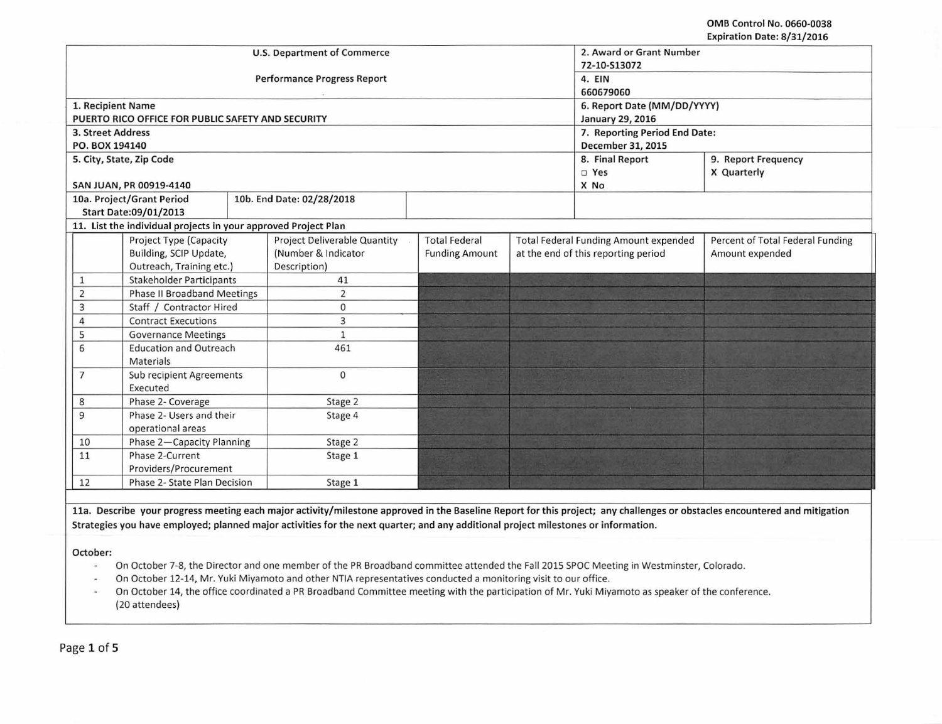|                                    |                                                                |              | <b>U.S. Department of Commerce</b> |                             |  | 2. Award or Grant Number                     |                                  |  |  |
|------------------------------------|----------------------------------------------------------------|--------------|------------------------------------|-----------------------------|--|----------------------------------------------|----------------------------------|--|--|
|                                    |                                                                |              |                                    | 72-10-S13072                |  |                                              |                                  |  |  |
|                                    |                                                                |              | <b>Performance Progress Report</b> | 4. EIN                      |  |                                              |                                  |  |  |
|                                    |                                                                |              |                                    | 660679060                   |  |                                              |                                  |  |  |
| 1. Recipient Name                  |                                                                |              |                                    | 6. Report Date (MM/DD/YYYY) |  |                                              |                                  |  |  |
|                                    | PUERTO RICO OFFICE FOR PUBLIC SAFETY AND SECURITY              |              |                                    |                             |  | <b>January 29, 2016</b>                      |                                  |  |  |
| 3. Street Address                  |                                                                |              |                                    |                             |  | 7. Reporting Period End Date:                |                                  |  |  |
| PO. BOX 194140                     |                                                                |              |                                    |                             |  | December 31, 2015                            |                                  |  |  |
|                                    | 5. City, State, Zip Code                                       |              |                                    |                             |  | 8. Final Report                              | 9. Report Frequency              |  |  |
|                                    |                                                                |              |                                    |                             |  | □ Yes                                        | X Quarterly                      |  |  |
|                                    | SAN JUAN, PR 00919-4140                                        |              |                                    |                             |  | X No                                         |                                  |  |  |
|                                    | 10a. Project/Grant Period                                      |              | 10b. End Date: 02/28/2018          |                             |  |                                              |                                  |  |  |
|                                    | <b>Start Date:09/01/2013</b>                                   |              |                                    |                             |  |                                              |                                  |  |  |
|                                    | 11. List the individual projects in your approved Project Plan |              |                                    |                             |  |                                              |                                  |  |  |
|                                    | Project Type (Capacity                                         |              | Project Deliverable Quantity       | <b>Total Federal</b>        |  | <b>Total Federal Funding Amount expended</b> | Percent of Total Federal Funding |  |  |
|                                    | Building, SCIP Update,                                         |              | (Number & Indicator                | <b>Funding Amount</b>       |  | at the end of this reporting period          | Amount expended                  |  |  |
|                                    | Outreach, Training etc.)                                       |              | Description)                       |                             |  |                                              |                                  |  |  |
| 1                                  | <b>Stakeholder Participants</b>                                |              | 41                                 |                             |  |                                              |                                  |  |  |
| $\overline{2}$                     | <b>Phase II Broadband Meetings</b>                             |              | $\overline{2}$                     |                             |  |                                              |                                  |  |  |
| 3                                  | Staff / Contractor Hired                                       |              | $\mathbf 0$                        |                             |  |                                              |                                  |  |  |
| <b>Contract Executions</b><br>4    |                                                                | 3            |                                    |                             |  |                                              |                                  |  |  |
| <b>Governance Meetings</b><br>5    |                                                                | $\mathbf{1}$ |                                    |                             |  |                                              |                                  |  |  |
| <b>Education and Outreach</b><br>6 |                                                                | 461          |                                    |                             |  |                                              |                                  |  |  |
| Materials                          |                                                                |              |                                    |                             |  |                                              |                                  |  |  |
| Sub recipient Agreements<br>7      |                                                                | $\mathbf{0}$ |                                    |                             |  |                                              |                                  |  |  |
|                                    | Executed                                                       |              |                                    |                             |  |                                              |                                  |  |  |
| Phase 2- Coverage<br>8             |                                                                | Stage 2      |                                    |                             |  |                                              |                                  |  |  |
| 9<br>Phase 2- Users and their      |                                                                | Stage 4      |                                    |                             |  |                                              |                                  |  |  |
| operational areas                  |                                                                |              |                                    |                             |  |                                              |                                  |  |  |
| Phase 2-Capacity Planning<br>10    |                                                                | Stage 2      |                                    |                             |  |                                              |                                  |  |  |
| Phase 2-Current<br>11              |                                                                | Stage 1      |                                    |                             |  |                                              |                                  |  |  |
| Providers/Procurement              |                                                                |              |                                    |                             |  |                                              |                                  |  |  |
| Phase 2- State Plan Decision<br>12 |                                                                |              | Stage 1                            |                             |  |                                              |                                  |  |  |

11a. Describe your progress meeting each major activity/milestone approved in the Baseline Report for this project; any challenges or obstacles encountered and mitigation Strategies you have employed; planned major activities for the next quarter; and any additional project milestones or information.

October:

On October 7-8, the Director and one member of the PR Broadband committee attended the Fall 2015 SPOC Meeting in Westminster, Colorado.  $\omega$ 

- On October 12-14, Mr. Yuki Miyamoto and other NTIA representatives conducted a monitoring visit to our office.  $\omega$
- On October 14, the office coordinated a PR Broadband Committee meeting with the participation of Mr. Yuki Miyamoto as speaker of the conference.  $\sim$ (20 attendees)

Page 1 of 5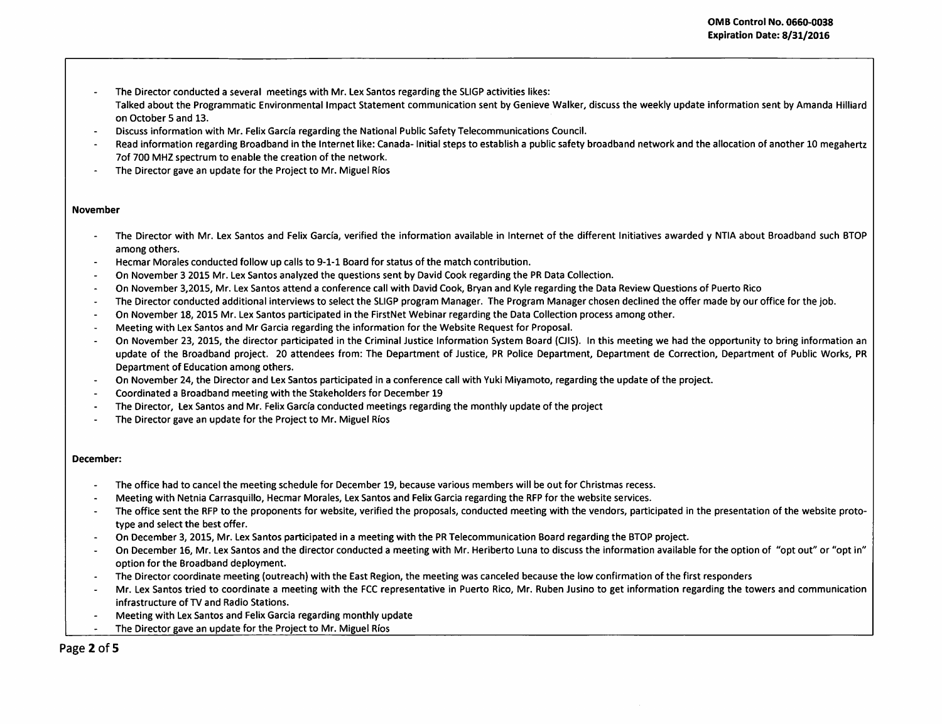- The Director conducted a several meetings with Mr. lex Santos regarding the SLIGP activities likes:
- Talked about the Programmatic Environmental Impact Statement communication sent by Genieve Walker, discuss the weekly update information sent by Amanda Hilliard on October 5 and 13.
- Discuss information with Mr. Felix Garda regarding the National Public Safety Telecommunications Council.
- Read information regarding Broadband in the Internet like: Canada-Initial steps to establish a public safety broadband network and the allocation of another 10 megahertz 7of 700 MHZ spectrum to enable the creation of the network.
- The Director gave an update for the Project to Mr. Miguel Rfos

## November

- The Director with Mr. Lex Santos and Felix García, verified the information available in Internet of the different Initiatives awarded y NTIA about Broadband such BTOP among others.
- Hecmar Morales conducted follow up calls to 9-1-1 Board for status of the match contribution.
- On November 3 2015 Mr. lex Santos analyzed the questions sent by David Cook regarding the PR Data Collection.
- On November 3,2015, Mr. Lex Santos attend a conference call with David Cook, Bryan and Kyle regarding the Data Review Questions of Puerto Rico
- The Director conducted additional interviews to select the SLIGP program Manager. The Program Manager chosen declined the offer made by our office for the job.
- $\overline{a}$ On November 18, 2015 Mr. Lex Santos participated in the FirstNet Webinar regarding the Data Collection process among other.
- Meeting with Lex Santos and Mr Garcia regarding the information for the Website Request for Proposal.
- On November 23, 2015, the director participated in the Criminal Justice Information System Board {CJIS). In this meeting we had the opportunity to bring information an update of the Broadband project. 20 attendees from: The Department of Justice, PR Police Department, Department de Correction, Department of Public Works, PR Department of Education among others.
- On November 24, the Director and lex Santos participated in a conference call with Yuki Miyamoto, regarding the update of the project.
- Coordinated a Broadband meeting with the Stakeholders for December 19  $\overline{\phantom{a}}$
- The Director, Lex Santos and Mr. Felix García conducted meetings regarding the monthly update of the project
- The Director gave an update for the Project to Mr. Miguel Rios  $\overline{\phantom{a}}$

## December:

- The office had to cancel the meeting schedule for December 19, because various members will be out for Christmas recess.
- Meeting with Netnia Carrasquillo, Hecmar Morales, lex Santos and Felix Garcia regarding the RFP for the website services.  $\sim$
- The office sent the RFP to the proponents for website, verified the proposals, conducted meeting with the vendors, participated in the presentation of the website prototype and select the best offer.
- $\overline{a}$ On December 3, 2015, Mr. Lex Santos participated in a meeting with the PR Telecommunication Board regarding the BTOP project.
- On December 16, Mr. Lex Santos and the director conducted a meeting with Mr. Heriberto Luna to discuss the information available for the option of "opt out" or "opt in" option for the Broadband deployment.
- The Director coordinate meeting (outreach) with the East Region, the meeting was canceled because the low confirmation of the first responders
- Mr. Lex Santos tried to coordinate a meeting with the FCC representative in Puerto Rico, Mr. Ruben Jusino to get information regarding the towers and communication infrastructure of TV and Radio Stations.
- Meeting with lex Santos and Felix Garcia regarding monthly update
- The Director gave an update for the Project to Mr. Miguel Rios

Page 2 of 5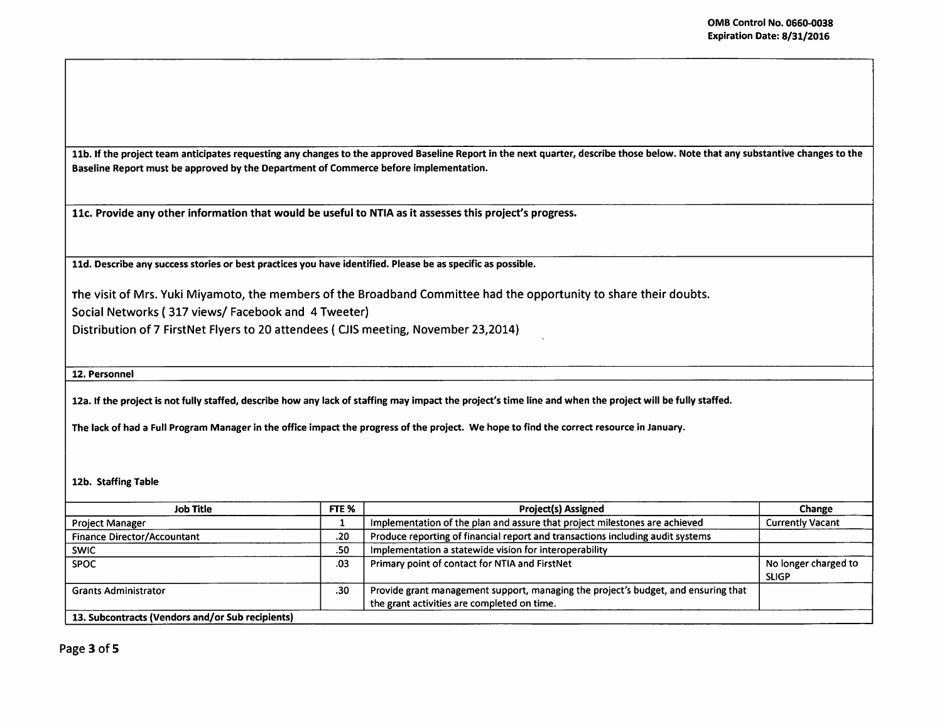11b. If the project team anticipates requesting any changes to the approved Baseline Report in the next quarter, describe those below. Note that any substantive changes to the Baseline Report must be approved by the Department of Commerce before implementation.

llc. Provide any other information that would be useful to NTIA as it assesses this project's progress.

11d. Describe any success stories or best practices you have identified. Please be as specific as possible.

The visit of Mrs. Yuki Miyamoto, the members of the Broadband Committee had the opportunity to share their doubts.

Social Networks ( 317 views/ Facebook and 4 Tweeter)

Distribution of 7 FirstNet Flyers to 20 attendees (CJIS meeting, November 23,2014)

12. Personnel

12a. If the project is not fully staffed, describe how any lack of staffing may impact the project's time line and when the project will be fully staffed.

The lack of had a Full Program Manager in the office impact the progress of the project. We hope to find the correct resource in January.

12b. Staffing Table

| <b>Job Title</b>                                 | FTE % | <b>Project(s) Assigned</b>                                                         | Change                  |  |  |  |  |  |
|--------------------------------------------------|-------|------------------------------------------------------------------------------------|-------------------------|--|--|--|--|--|
| Project Manager                                  |       | Implementation of the plan and assure that project milestones are achieved         | <b>Currently Vacant</b> |  |  |  |  |  |
| <b>Finance Director/Accountant</b>               | .20   | Produce reporting of financial report and transactions including audit systems     |                         |  |  |  |  |  |
| <b>SWIC</b>                                      | .50   | Implementation a statewide vision for interoperability                             |                         |  |  |  |  |  |
| <b>SPOC</b>                                      | .03   | Primary point of contact for NTIA and FirstNet                                     | No longer charged to    |  |  |  |  |  |
|                                                  |       |                                                                                    | <b>SLIGP</b>            |  |  |  |  |  |
| <b>Grants Administrator</b>                      | .30   | Provide grant management support, managing the project's budget, and ensuring that |                         |  |  |  |  |  |
|                                                  |       | the grant activities are completed on time.                                        |                         |  |  |  |  |  |
| 13. Subcontracts (Vendors and/or Sub recipients) |       |                                                                                    |                         |  |  |  |  |  |

Page 3 of 5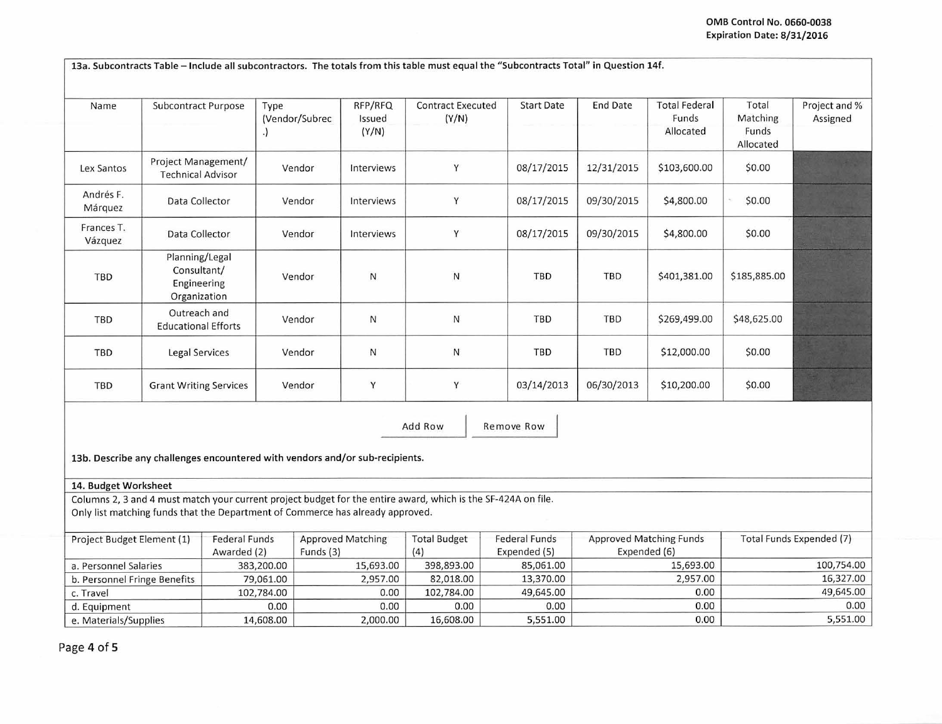|                              |                                                              |                                     |                                                                                |                            |                                                                                                               | 13a. Subcontracts Table - Include all subcontractors. The totals from this table must equal the "Subcontracts Total" in Question 14f. |                                                |                                            |                                         |                           |  |
|------------------------------|--------------------------------------------------------------|-------------------------------------|--------------------------------------------------------------------------------|----------------------------|---------------------------------------------------------------------------------------------------------------|---------------------------------------------------------------------------------------------------------------------------------------|------------------------------------------------|--------------------------------------------|-----------------------------------------|---------------------------|--|
| Name                         | Subcontract Purpose                                          |                                     | Type<br>(Vendor/Subrec<br>$\cdot$                                              | RFP/RFQ<br>Issued<br>(Y/N) | <b>Contract Executed</b><br>(Y/N)                                                                             | <b>Start Date</b>                                                                                                                     | <b>End Date</b>                                | <b>Total Federal</b><br>Funds<br>Allocated | Total<br>Matching<br>Funds<br>Allocated | Project and %<br>Assigned |  |
| Lex Santos                   | Project Management/<br><b>Technical Advisor</b>              |                                     | Vendor                                                                         | Interviews                 | Y                                                                                                             | 08/17/2015                                                                                                                            | 12/31/2015                                     | \$103,600.00                               | \$0.00                                  |                           |  |
| Andrés F.<br>Márquez         | Data Collector                                               |                                     | Vendor                                                                         | Interviews                 | Y                                                                                                             | 08/17/2015                                                                                                                            | 09/30/2015                                     | \$4,800.00                                 | \$0.00                                  |                           |  |
| Frances T.<br>Vázquez        | Data Collector                                               |                                     | Vendor                                                                         | Interviews                 | Y                                                                                                             | 08/17/2015                                                                                                                            | 09/30/2015                                     | \$4,800.00                                 | \$0.00                                  |                           |  |
| TBD                          | Planning/Legal<br>Consultant/<br>Engineering<br>Organization |                                     | Vendor                                                                         | N                          | N                                                                                                             | <b>TBD</b>                                                                                                                            | TBD                                            | \$401,381.00                               | \$185,885.00                            |                           |  |
| TBD                          | Outreach and<br><b>Educational Efforts</b>                   |                                     | Vendor                                                                         | N                          | ${\sf N}$                                                                                                     | TBD                                                                                                                                   | TBD                                            | \$269,499.00                               | \$48,625.00                             |                           |  |
| TBD                          | <b>Legal Services</b>                                        |                                     | Vendor                                                                         | $\mathsf{N}\xspace$        | $\mathsf{N}$                                                                                                  | <b>TBD</b>                                                                                                                            | TBD                                            | \$12,000.00                                | \$0.00                                  |                           |  |
| <b>TBD</b>                   | <b>Grant Writing Services</b>                                |                                     | Vendor                                                                         | Y                          | Y                                                                                                             | 03/14/2013                                                                                                                            | 06/30/2013                                     | \$10,200.00                                | \$0.00                                  |                           |  |
|                              |                                                              |                                     | 13b. Describe any challenges encountered with vendors and/or sub-recipients.   |                            | Add Row                                                                                                       | Remove Row                                                                                                                            |                                                |                                            |                                         |                           |  |
| 14. Budget Worksheet         |                                                              |                                     |                                                                                |                            |                                                                                                               |                                                                                                                                       |                                                |                                            |                                         |                           |  |
|                              |                                                              |                                     | Only list matching funds that the Department of Commerce has already approved. |                            | Columns 2, 3 and 4 must match your current project budget for the entire award, which is the SF-424A on file. |                                                                                                                                       |                                                |                                            |                                         |                           |  |
| Project Budget Element (1)   |                                                              | <b>Federal Funds</b><br>Awarded (2) | Funds (3)                                                                      | <b>Approved Matching</b>   | <b>Total Budget</b><br>(4)                                                                                    | <b>Federal Funds</b><br>Expended (5)                                                                                                  | <b>Approved Matching Funds</b><br>Expended (6) |                                            | Total Funds Expended (7)                |                           |  |
| a. Personnel Salaries        |                                                              |                                     | 383,200.00                                                                     | 15,693.00                  | 398,893.00                                                                                                    | 85,061.00                                                                                                                             |                                                | 15,693.00                                  |                                         | 100,754.00                |  |
| b. Personnel Fringe Benefits |                                                              |                                     | 79,061.00                                                                      | 2,957.00                   | 82,018.00                                                                                                     | 13,370.00                                                                                                                             |                                                | 2,957.00                                   |                                         | 16,327.00                 |  |
| c. Travel                    |                                                              |                                     | 102,784.00                                                                     | 0.00                       | 102,784.00                                                                                                    | 49,645.00                                                                                                                             | 0.00                                           |                                            |                                         | 49,645.00                 |  |
| d. Equipment                 |                                                              |                                     | 0.00                                                                           | 0.00                       | 0.00                                                                                                          | 0.00                                                                                                                                  |                                                | 0.00                                       | 0.00                                    |                           |  |
| e. Materials/Supplies        |                                                              |                                     | 14,608.00                                                                      | 2,000.00                   | 16,608.00                                                                                                     | 5,551.00                                                                                                                              |                                                | 0.00                                       |                                         | 5,551.00                  |  |

Page 4 of 5